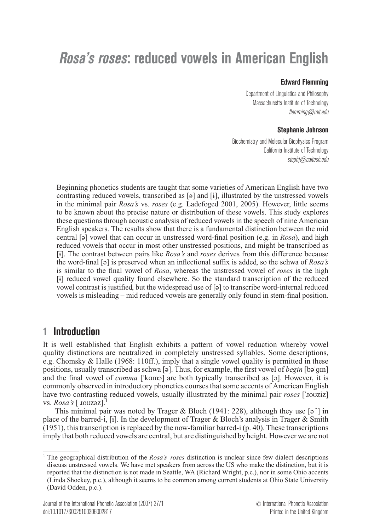# **Rosa's roses: reduced vowels in American English**

# **Edward Flemming**

Department of Linguistics and Philosophy Massachusetts Institute of Technology flemming@mit.edu

## **Stephanie Johnson**

Biochemistry and Molecular Biophysics Program California Institute of Technology stephi@caltech.edu

Beginning phonetics students are taught that some varieties of American English have two contrasting reduced vowels, transcribed as  $[\circ]$  and  $[i]$ , illustrated by the unstressed vowels in the minimal pair *Rosa's* vs. *roses* (e.g. Ladefoged 2001, 2005). However, little seems to be known about the precise nature or distribution of these vowels. This study explores these questions through acoustic analysis of reduced vowels in the speech of nine American English speakers. The results show that there is a fundamental distinction between the mid central [ə] vowel that can occur in unstressed word-final position (e.g. in *Rosa*), and high reduced vowels that occur in most other unstressed positions, and might be transcribed as [È]. The contrast between pairs like *Rosa's* and *roses* derives from this difference because the word-final [´] is preserved when an inflectional suffix is added, so the schwa of *Rosa's* is similar to the final vowel of *Rosa*, whereas the unstressed vowel of *roses* is the high [È] reduced vowel quality found elsewhere. So the standard transcription of the reduced vowel contrast is justified, but the widespread use of  $\lceil 5 \rceil$  to transcribe word-internal reduced vowels is misleading – mid reduced vowels are generally only found in stem-final position.

# **1 Introduction**

It is well established that English exhibits a pattern of vowel reduction whereby vowel quality distinctions are neutralized in completely unstressed syllables. Some descriptions, e.g. Chomsky & Halle (1968: 110ff.), imply that a single vowel quality is permitted in these positions, usually transcribed as schwa [ə]. Thus, for example, the first vowel of *begin* [bə'gɪn] and the final vowel of *comma* ['kama] are both typically transcribed as [a]. However, it is commonly observed in introductory phonetics courses that some accents of American English have two contrasting reduced vowels, usually illustrated by the minimal pair *roses* ['louziz] vs. *Rosa's* ['Jouzez].

This minimal pair was noted by Trager & Bloch (1941: 228), although they use  $\lceil \hat{\sigma} \rceil$  in place of the barred-i, [ $\mathbf{i}$ ]. In the development of Trager & Bloch's analysis in Trager & Smith (1951), this transcription is replaced by the now-familiar barred-i (p. 40). These transcriptions imply that both reduced vowels are central, but are distinguished by height. However we are not

<sup>1</sup> The geographical distribution of the *Rosa's*–*roses* distinction is unclear since few dialect descriptions discuss unstressed vowels. We have met speakers from across the US who make the distinction, but it is reported that the distinction is not made in Seattle, WA (Richard Wright, p.c.), nor in some Ohio accents (Linda Shockey, p.c.), although it seems to be common among current students at Ohio State University (David Odden, p.c.).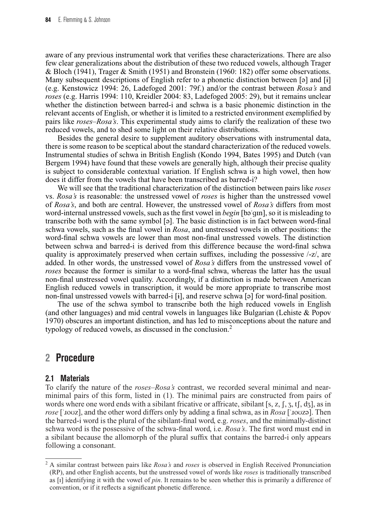aware of any previous instrumental work that verifies these characterizations. There are also few clear generalizations about the distribution of these two reduced vowels, although Trager & Bloch (1941), Trager & Smith (1951) and Bronstein (1960: 182) offer some observations. Many subsequent descriptions of English refer to a phonetic distinction between  $[\circ]$  and  $[\dot{i}]$ (e.g. Kenstowicz 1994: 26, Ladefoged 2001: 79f.) and/or the contrast between *Rosa's* and *roses* (e.g. Harris 1994: 110, Kreidler 2004: 83, Ladefoged 2005: 29), but it remains unclear whether the distinction between barred-i and schwa is a basic phonemic distinction in the relevant accents of English, or whether it is limited to a restricted environment exemplified by pairs like *roses*–*Rosa's*. This experimental study aims to clarify the realization of these two reduced vowels, and to shed some light on their relative distributions.

Besides the general desire to supplement auditory observations with instrumental data, there is some reason to be sceptical about the standard characterization of the reduced vowels. Instrumental studies of schwa in British English (Kondo 1994, Bates 1995) and Dutch (van Bergem 1994) have found that these vowels are generally high, although their precise quality is subject to considerable contextual variation. If English schwa is a high vowel, then how does it differ from the vowels that have been transcribed as barred-i?

We will see that the traditional characterization of the distinction between pairs like *roses* vs. *Rosa's* is reasonable: the unstressed vowel of *roses* is higher than the unstressed vowel of *Rosa's*, and both are central. However, the unstressed vowel of *Rosa's* differs from most word-internal unstressed vowels, such as the first vowel in *begin* [bə'qın], so it is misleading to transcribe both with the same symbol [a]. The basic distinction is in fact between word-final schwa vowels, such as the final vowel in *Rosa*, and unstressed vowels in other positions: the word-final schwa vowels are lower than most non-final unstressed vowels. The distinction between schwa and barred-i is derived from this difference because the word-final schwa quality is approximately preserved when certain suffixes, including the possessive  $\frac{\ell}{z}$ , are added. In other words, the unstressed vowel of *Rosa's* differs from the unstressed vowel of *roses* because the former is similar to a word-final schwa, whereas the latter has the usual non-final unstressed vowel quality. Accordingly, if a distinction is made between American English reduced vowels in transcription, it would be more appropriate to transcribe most non-final unstressed vowels with barred-i  $[i]$ , and reserve schwa  $[\circ]$  for word-final position.

The use of the schwa symbol to transcribe both the high reduced vowels in English (and other languages) and mid central vowels in languages like Bulgarian (Lehiste & Popov 1970) obscures an important distinction, and has led to misconceptions about the nature and typology of reduced vowels, as discussed in the conclusion.<sup>2</sup>

# **2 Procedure**

## **2.1 Materials**

To clarify the nature of the *roses*–*Rosa's* contrast, we recorded several minimal and nearminimal pairs of this form, listed in (1). The minimal pairs are constructed from pairs of words where one word ends with a sibilant fricative or affricate, sibilant [s, z,  $\lceil$ , 3, t $\lceil$ , dz], as in *rose* ['*xouz*], and the other word differs only by adding a final schwa, as in *Rosa* ['*xouz*ə]. Then the barred-i word is the plural of the sibilant-final word, e.g. *roses*, and the minimally-distinct schwa word is the possessive of the schwa-final word, i.e. *Rosa's*. The first word must end in a sibilant because the allomorph of the plural suffix that contains the barred-i only appears following a consonant.

<sup>2</sup> A similar contrast between pairs like *Rosa's* and *roses* is observed in English Received Pronunciation (RP), and other English accents, but the unstressed vowel of words like *roses* is traditionally transcribed as [I] identifying it with the vowel of *pin*. It remains to be seen whether this is primarily a difference of convention, or if it reflects a significant phonetic difference.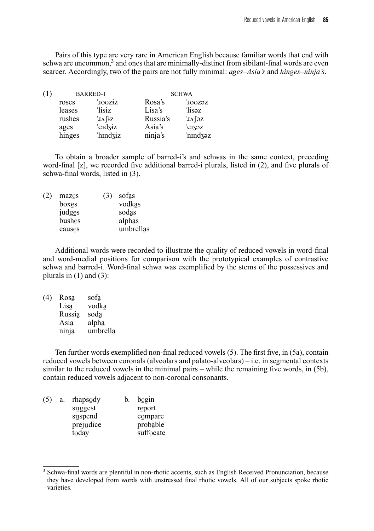Pairs of this type are very rare in American English because familiar words that end with schwa are uncommon,<sup>3</sup> and ones that are minimally-distinct from sibilant-final words are even scarcer. Accordingly, two of the pairs are not fully minimal: *ages*–*Asia's* and *hinges*–*ninja's*.

| (1) |        | <b>BARRED-I</b> | <b>SCHWA</b> |                    |  |  |
|-----|--------|-----------------|--------------|--------------------|--|--|
|     | roses  | IOUZiZ          | Rosa's       | IOUZƏZ             |  |  |
|     | leases | lisiz           | Lisa's       | 'lisəz             |  |  |
|     | rushes | IΛ [iZ          | Russia's     | 'J∧[ƏZ             |  |  |
|     | ages   | erdziz          | Asia's       | er <sub>3</sub> 2z |  |  |
|     | hinges | hindziz         | ninja's      | nmdzəz             |  |  |

To obtain a broader sample of barred-i's and schwas in the same context, preceding word-final [z], we recorded five additional barred-i plurals, listed in (2), and five plurals of schwa-final words, listed in (3).

| (2) | mazes  | (3) | sofas     |
|-----|--------|-----|-----------|
|     | boxes  |     | vodkas    |
|     | judges |     | sodas     |
|     | bushes |     | alphas    |
|     | causes |     | umbrellas |
|     |        |     |           |

Additional words were recorded to illustrate the quality of reduced vowels in word-final and word-medial positions for comparison with the prototypical examples of contrastive schwa and barred-i. Word-final schwa was exemplified by the stems of the possessives and plurals in  $(1)$  and  $(3)$ :

| (4) | Rosa   | sofa     |
|-----|--------|----------|
|     | Lisa   | vodka    |
|     | Russia | soda     |
|     | Asia   | alpha    |
|     | ninja  | umbrella |
|     |        |          |

Ten further words exemplified non-final reduced vowels (5). The first five, in (5a), contain reduced vowels between coronals (alveolars and palato-alveolars) – i.e. in segmental contexts similar to the reduced vowels in the minimal pairs – while the remaining five words, in (5b), contain reduced vowels adjacent to non-coronal consonants.

| (5) | a. | rhapsody  | b. | begin     |
|-----|----|-----------|----|-----------|
|     |    | suggest   |    | report    |
|     |    | suspend   |    | compare   |
|     |    | prejudice |    | probable  |
|     |    | today     |    | suffocate |

<sup>&</sup>lt;sup>3</sup> Schwa-final words are plentiful in non-rhotic accents, such as English Received Pronunciation, because they have developed from words with unstressed final rhotic vowels. All of our subjects spoke rhotic varieties.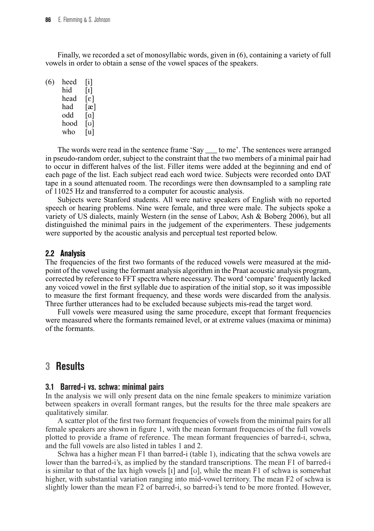Finally, we recorded a set of monosyllabic words, given in (6), containing a variety of full vowels in order to obtain a sense of the vowel spaces of the speakers.

 $(6)$  heed [i] hid  $\begin{bmatrix} 1 \end{bmatrix}$ head  $[\varepsilon]$ <br>had  $[\varepsilon]$  $\lceil$ æ $\rceil$ odd [a] hood [v] who [u]

The words were read in the sentence frame 'Say \_\_\_ to me'. The sentences were arranged in pseudo-random order, subject to the constraint that the two members of a minimal pair had to occur in different halves of the list. Filler items were added at the beginning and end of each page of the list. Each subject read each word twice. Subjects were recorded onto DAT tape in a sound attenuated room. The recordings were then downsampled to a sampling rate of 11025 Hz and transferred to a computer for acoustic analysis.

Subjects were Stanford students. All were native speakers of English with no reported speech or hearing problems. Nine were female, and three were male. The subjects spoke a variety of US dialects, mainly Western (in the sense of Labov, Ash & Boberg 2006), but all distinguished the minimal pairs in the judgement of the experimenters. These judgements were supported by the acoustic analysis and perceptual test reported below.

#### **2.2 Analysis**

The frequencies of the first two formants of the reduced vowels were measured at the midpoint of the vowel using the formant analysis algorithm in the Praat acoustic analysis program, corrected by reference to FFT spectra where necessary. The word 'compare' frequently lacked any voiced vowel in the first syllable due to aspiration of the initial stop, so it was impossible to measure the first formant frequency, and these words were discarded from the analysis. Three further utterances had to be excluded because subjects mis-read the target word.

Full vowels were measured using the same procedure, except that formant frequencies were measured where the formants remained level, or at extreme values (maxima or minima) of the formants.

# **3 Results**

#### **3.1 Barred-i vs. schwa: minimal pairs**

In the analysis we will only present data on the nine female speakers to minimize variation between speakers in overall formant ranges, but the results for the three male speakers are qualitatively similar.

A scatter plot of the first two formant frequencies of vowels from the minimal pairs for all female speakers are shown in figure 1, with the mean formant frequencies of the full vowels plotted to provide a frame of reference. The mean formant frequencies of barred-i, schwa, and the full vowels are also listed in tables 1 and 2.

Schwa has a higher mean F1 than barred-i (table 1), indicating that the schwa vowels are lower than the barred-i's, as implied by the standard transcriptions. The mean F1 of barred-i is similar to that of the lax high vowels  $\lceil \cdot \rceil$  and  $\lceil \cdot \rceil$ , while the mean F1 of schwa is somewhat higher, with substantial variation ranging into mid-vowel territory. The mean F2 of schwa is slightly lower than the mean F2 of barred-i, so barred-i's tend to be more fronted. However,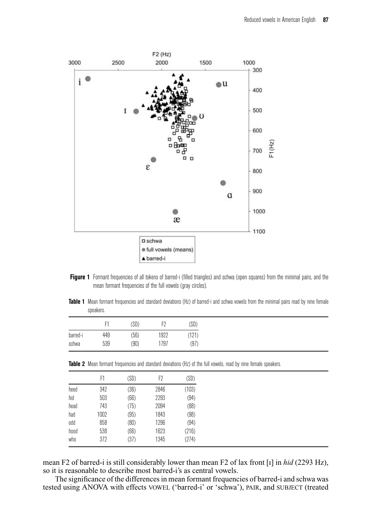

- Figure 1 Formant frequencies of all tokens of barred-i (filled triangles) and schwa (open squares) from the minimal pairs, and the mean formant frequencies of the full vowels (gray circles).
- **Table 1** Mean formant frequencies and standard deviations (Hz) of barred-i and schwa vowels from the minimal pairs read by nine female speakers.

|          |     | (SD) | F9   | (SD)  |
|----------|-----|------|------|-------|
| barred-i | 449 | (56) | 1922 | (121) |
| schwa    | 539 | (90) | 1797 | (97)  |

|  |  | Table 2 Mean formant frequencies and standard deviations (Hz) of the full vowels, read by nine female speakers |  |  |  |  |  |  |  |  |  |
|--|--|----------------------------------------------------------------------------------------------------------------|--|--|--|--|--|--|--|--|--|
|--|--|----------------------------------------------------------------------------------------------------------------|--|--|--|--|--|--|--|--|--|

|      | F1   | (SD) | F2   | (SD)  |
|------|------|------|------|-------|
| heed | 342  | (36) | 2846 | (103) |
| hid  | 503  | (66) | 2293 | (94)  |
| head | 743  | (75) | 2094 | (88)  |
| had  | 1002 | (95) | 1843 | (98)  |
| odd  | 858  | (80) | 1296 | (94)  |
| hood | 538  | (66) | 1623 | (216) |
| who  | 372  | (37) | 1345 | (274) |

mean F2 of barred-i is still considerably lower than mean F2 of lax front [I] in *hid* (2293 Hz), so it is reasonable to describe most barred-i's as central vowels.

The significance of the differences in mean formant frequencies of barred-i and schwa was tested using ANOVA with effects VOWEL ('barred-i' or 'schwa'), PAIR, and SUBJECT (treated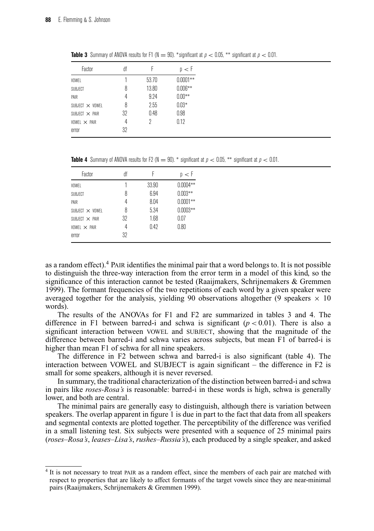| Factor                 | df | Ł     | 0 < F      |
|------------------------|----|-------|------------|
| VOWFI                  |    | 53.70 | $0.0001**$ |
| SUBJECT                | 8  | 13.80 | $0.006**$  |
| PAIR                   | 4  | 9.24  | $0.00**$   |
| $SUBJFCT \times VOWFI$ | 8  | 2.55  | $0.03*$    |
| $SUBJFCT \times PAIR$  | 32 | 0.48  | 0.98       |
| $VOWFI \times PAIR$    | 4  | 2     | 0.12       |
| error                  | 32 |       |            |

**Table 3** Summary of ANOVA results for F1 (N = 90). \*significant at  $p < 0.05$ , \*\* significant at  $p < 0.01$ .

**Table 4** Summary of ANOVA results for F2 (N = 90).  $*$  significant at  $p < 0.05$ ,  $**$  significant at  $p < 0.01$ .

| Factor                 | df |       | p < r      |
|------------------------|----|-------|------------|
| VOWEL                  |    | 33.90 | $0.0004**$ |
| SUBJECT                | 8  | 6.94  | $0.003**$  |
| PAIR                   | 4  | 8.04  | $0.0001**$ |
| SUBJECT $\times$ VOWEL | 8  | 5.34  | $0.0003**$ |
| SUBJECT $\times$ PAIR  | 32 | 1.68  | 0.07       |
| VOWEL $\times$ PAIR    | 4  | 0.42  | 0.80       |
| error                  | 32 |       |            |

as a random effect).<sup>4</sup> PAIR identifies the minimal pair that a word belongs to. It is not possible to distinguish the three-way interaction from the error term in a model of this kind, so the significance of this interaction cannot be tested (Raaijmakers, Schrijnemakers & Gremmen 1999). The formant frequencies of the two repetitions of each word by a given speaker were averaged together for the analysis, yielding 90 observations altogether (9 speakers  $\times$  10 words).

The results of the ANOVAs for F1 and F2 are summarized in tables 3 and 4. The difference in F1 between barred-i and schwa is significant  $(p < 0.01)$ . There is also a significant interaction between VOWEL and SUBJECT, showing that the magnitude of the difference between barred-i and schwa varies across subjects, but mean F1 of barred-i is higher than mean F1 of schwa for all nine speakers.

The difference in F2 between schwa and barred-i is also significant (table 4). The interaction between VOWEL and SUBJECT is again significant – the difference in F2 is small for some speakers, although it is never reversed.

In summary, the traditional characterization of the distinction between barred-i and schwa in pairs like *roses-Rosa's* is reasonable: barred-i in these words is high, schwa is generally lower, and both are central.

The minimal pairs are generally easy to distinguish, although there is variation between speakers. The overlap apparent in figure 1 is due in part to the fact that data from all speakers and segmental contexts are plotted together. The perceptibility of the difference was verified in a small listening test. Six subjects were presented with a sequence of 25 minimal pairs (*roses*–*Rosa's*, *leases*–*Lisa's*, *rushes*–*Russia's*), each produced by a single speaker, and asked

<sup>4</sup> It is not necessary to treat PAIR as a random effect, since the members of each pair are matched with respect to properties that are likely to affect formants of the target vowels since they are near-minimal pairs (Raaijmakers, Schrijnemakers & Gremmen 1999).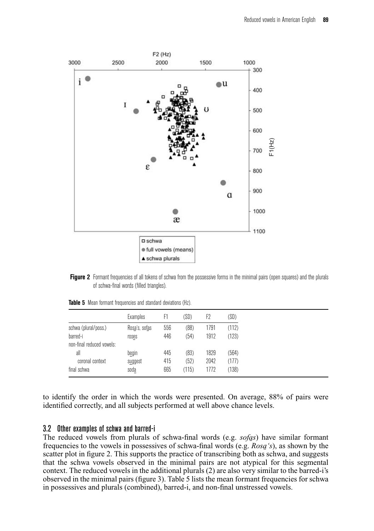



|                           | Examples      | F1  | (SD)  | F <sub>2</sub> | (SD)  |
|---------------------------|---------------|-----|-------|----------------|-------|
| schwa (plural/poss.)      | Rosa's, sofas | 556 | (88)  | 1791           | (112) |
| barred-i                  | roses         | 446 | (54)  | 1912           | (123) |
| non-final reduced vowels: |               |     |       |                |       |
| all                       | begin         | 445 | (83)  | 1829           | (564) |
| coronal context           | suggest       | 415 | (52)  | 2042           | (177) |
| final schwa               | soda          | 665 | (115) | 1772           | (138) |

**Table 5** Mean formant frequencies and standard deviations (Hz).

to identify the order in which the words were presented. On average, 88% of pairs were identified correctly, and all subjects performed at well above chance levels.

### 3.2 Other examples of schwa and barred-i

The reduced vowels from plurals of schwa-final words (e.g. *sofa*2*s*) have similar formant frequencies to the vowels in possessives of schwa-final words (e.g. *Rosa*2*'s*), as shown by the scatter plot in figure 2. This supports the practice of transcribing both as schwa, and suggests that the schwa vowels observed in the minimal pairs are not atypical for this segmental context. The reduced vowels in the additional plurals (2) are also very similar to the barred-i's observed in the minimal pairs (figure 3). Table 5 lists the mean formant frequencies for schwa in possessives and plurals (combined), barred-i, and non-final unstressed vowels.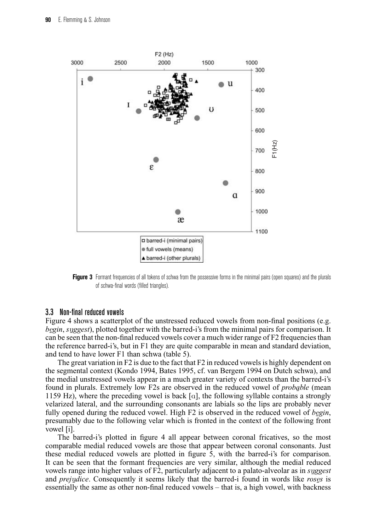

**Figure 3** Formant frequencies of all tokens of schwa from the possessive forms in the minimal pairs (open squares) and the plurals of schwa-final words (filled triangles).

#### 3.3 Non-final reduced vowels

Figure 4 shows a scatterplot of the unstressed reduced vowels from non-final positions (e.g. *begin*, *suggest*), plotted together with the barred-i's from the minimal pairs for comparison. It can be seen that the non-final reduced vowels cover a much wider range of F2 frequencies than the reference barred-i's, but in F1 they are quite comparable in mean and standard deviation, and tend to have lower F1 than schwa (table 5).

The great variation in F2 is due to the fact that F2 in reduced vowels is highly dependent on the segmental context (Kondo 1994, Bates 1995, cf. van Bergem 1994 on Dutch schwa), and the medial unstressed vowels appear in a much greater variety of contexts than the barred-i's found in plurals. Extremely low F2s are observed in the reduced vowel of *probable* (mean 1159 Hz), where the preceding vowel is back  $\lceil \alpha \rceil$ , the following syllable contains a strongly velarized lateral, and the surrounding consonants are labials so the lips are probably never fully opened during the reduced vowel. High F2 is observed in the reduced vowel of *begin*, presumably due to the following velar which is fronted in the context of the following front vowel [i].

The barred-i's plotted in figure 4 all appear between coronal fricatives, so the most comparable medial reduced vowels are those that appear between coronal consonants. Just these medial reduced vowels are plotted in figure 5, with the barred-i's for comparison. It can be seen that the formant frequencies are very similar, although the medial reduced vowels range into higher values of F2, particularly adjacent to a palato-alveolar as in *suggest* and *prejudice*. Consequently it seems likely that the barred-i found in words like *roses* is essentially the same as other non-final reduced vowels – that is, a high vowel, with backness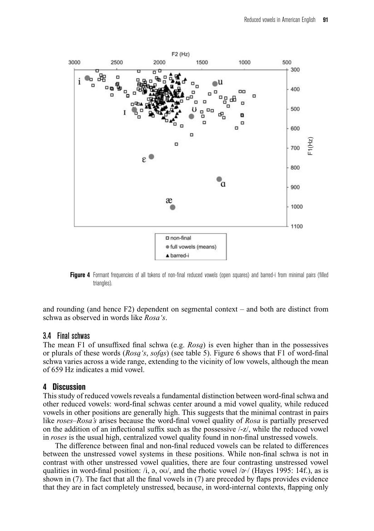

Figure 4 Formant frequencies of all tokens of non-final reduced vowels (open squares) and barred-i from minimal pairs (filled triangles).

and rounding (and hence F2) dependent on segmental context – and both are distinct from schwa as observed in words like *Rosa's*.

#### 3.4 Final schwas

The mean F1 of unsuffixed final schwa (e.g. *Rosa*) is even higher than in the possessives or plurals of these words (*Rosa's*, *sofas*) (see table 5). Figure 6 shows that F1 of word-final schwa varies across a wide range, extending to the vicinity of low vowels, although the mean of 659 Hz indicates a mid vowel.

## **4 Discussion**

This study of reduced vowels reveals a fundamental distinction between word-final schwa and other reduced vowels: word-final schwas center around a mid vowel quality, while reduced vowels in other positions are generally high. This suggests that the minimal contrast in pairs like *roses*–*Rosa's* arises because the word-final vowel quality of *Rosa* is partially preserved on the addition of an inflectional suffix such as the possessive /-z/, while the reduced vowel in *roses* is the usual high, centralized vowel quality found in non-final unstressed vowels.

The difference between final and non-final reduced vowels can be related to differences between the unstressed vowel systems in these positions. While non-final schwa is not in contrast with other unstressed vowel qualities, there are four contrasting unstressed vowel qualities in word-final position: /i,  $\phi$ , ou/, and the rhotic vowel / $\phi$ / (Hayes 1995: 14f.), as is shown in (7). The fact that all the final vowels in (7) are preceded by flaps provides evidence that they are in fact completely unstressed, because, in word-internal contexts, flapping only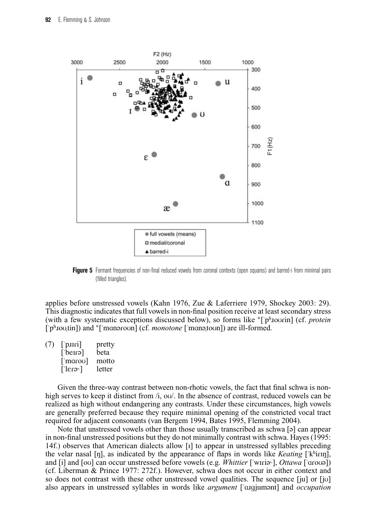

**Figure 5** Formant frequencies of non-final reduced vowels from coronal contexts (open squares) and barred-i from minimal pairs (filled triangles).

applies before unstressed vowels (Kahn 1976, Zue & Laferriere 1979, Shockey 2003: 29). This diagnostic indicates that full vowels in non-final position receive at least secondary stress (with a few systematic exceptions discussed below), so forms like <sup>∗</sup>['p<sup>h</sup><sub>Jourin</sub>] (cf. *protein* ['p<sup>h</sup><sub>IoU</sub>tin]) and \*['manəroun] (cf. *monotone* ['manəˌtoun]) are ill-formed.

| (7) | $\lceil$ puri | pretty |
|-----|---------------|--------|
|     | $[$ [expled]  | beta   |
|     | [ˈmɑroʊ]      | motto  |
|     | [ˈerə∿]       | letter |

Given the three-way contrast between non-rhotic vowels, the fact that final schwa is nonhigh serves to keep it distinct from  $\lambda$ , ou $\lambda$ . In the absence of contrast, reduced vowels can be realized as high without endangering any contrasts. Under these circumstances, high vowels are generally preferred because they require minimal opening of the constricted vocal tract required for adjacent consonants (van Bergem 1994, Bates 1995, Flemming 2004).

Note that unstressed vowels other than those usually transcribed as schwa  $\lceil 5 \rceil$  can appear in non-final unstressed positions but they do not minimally contrast with schwa. Hayes (1995: 14f.) observes that American dialects allow [I] to appear in unstressed syllables preceding the velar nasal [n], as indicated by the appearance of flaps in words like *Keating* [ $[k^h$ irn], and [i] and [ou] can occur unstressed before vowels (e.g. *Whittier* ['wIria~], *Ottawa* ['aroua]) (cf. Liberman & Prince 1977: 272f.). However, schwa does not occur in either context and so does not contrast with these other unstressed vowel qualities. The sequence [ju] or [ju] also appears in unstressed syllables in words like *argument* ["angjumont] and *occupation*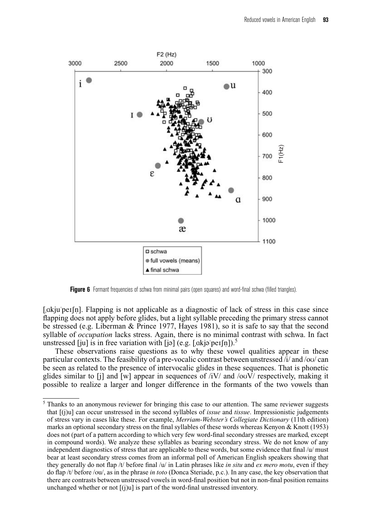

**Figure 6** Formant frequencies of schwa from minimal pairs (open squares) and word-final schwa (filled triangles).

 $\lceil \text{aki} \rceil$ . Flapping is not applicable as a diagnostic of lack of stress in this case since flapping does not apply before glides, but a light syllable preceding the primary stress cannot be stressed (e.g. Liberman & Prince 1977, Hayes 1981), so it is safe to say that the second syllable of *occupation* lacks stress. Again, there is no minimal contrast with schwa. In fact unstressed [ju] is in free variation with  $\pi$  [ja] (e.g.  $\pi$  [akja' peIfn]).<sup>5</sup>

These observations raise questions as to why these vowel qualities appear in these particular contexts. The feasibility of a pre-vocalic contrast between unstressed  $/i$  and  $/ov/can$ be seen as related to the presence of intervocalic glides in these sequences. That is phonetic glides similar to [j] and [w] appear in sequences of  $\frac{1}{V}$  and  $\frac{1}{\omega V}$  respectively, making it possible to realize a larger and longer difference in the formants of the two vowels than

<sup>5</sup> Thanks to an anonymous reviewer for bringing this case to our attention. The same reviewer suggests that [(j)u] can occur unstressed in the second syllables of *issue* and *tissue*. Impressionistic judgements of stress vary in cases like these. For example, *Merriam-Webster's Collegiate Dictionary* (11th edition) marks an optional secondary stress on the final syllables of these words whereas Kenyon & Knott (1953) does not (part of a pattern according to which very few word-final secondary stresses are marked, except in compound words). We analyze these syllables as bearing secondary stress. We do not know of any independent diagnostics of stress that are applicable to these words, but some evidence that final /u/ must bear at least secondary stress comes from an informal poll of American English speakers showing that they generally do not flap /t/ before final /u/ in Latin phrases like *in situ* and *ex mero motu*, even if they do flap /t/ before /ou/, as in the phrase *in toto* (Donca Steriade, p.c.). In any case, the key observation that there are contrasts between unstressed vowels in word-final position but not in non-final position remains unchanged whether or not  $[(i)u]$  is part of the word-final unstressed inventory.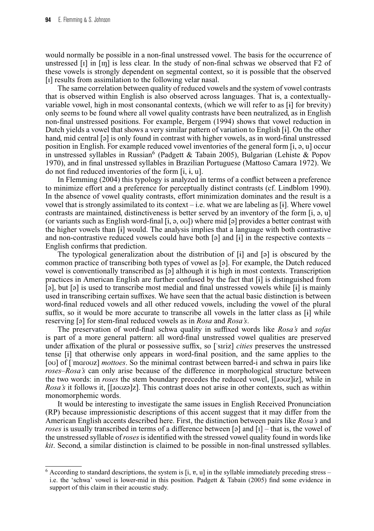would normally be possible in a non-final unstressed vowel. The basis for the occurrence of unstressed [I] in [IN] is less clear. In the study of non-final schwas we observed that F2 of these vowels is strongly dependent on segmental context, so it is possible that the observed [I] results from assimilation to the following velar nasal.

The same correlation between quality of reduced vowels and the system of vowel contrasts that is observed within English is also observed across languages. That is, a contextuallyvariable vowel, high in most consonantal contexts, (which we will refer to as [È] for brevity) only seems to be found where all vowel quality contrasts have been neutralized, as in English non-final unstressed positions. For example, Bergem (1994) shows that vowel reduction in Dutch yields a vowel that shows a very similar pattern of variation to English  $[i]$ . On the other hand, mid central  $\lceil \varphi \rceil$  is only found in contrast with higher vowels, as in word-final unstressed position in English. For example reduced vowel inventories of the general form  $[i, \infty, u]$  occur in unstressed syllables in Russian<sup>6</sup> (Padgett & Tabain 2005), Bulgarian (Lehiste & Popov 1970), and in final unstressed syllables in Brazilian Portuguese (Mattoso Camara 1972). We do not find reduced inventories of the form  $[i, i, u]$ .

In Flemming (2004) this typology is analyzed in terms of a conflict between a preference to minimize effort and a preference for perceptually distinct contrasts (cf. Lindblom 1990). In the absence of vowel quality contrasts, effort minimization dominates and the result is a vowel that is strongly assimilated to its context – i.e. what we are labeling as  $[i]$ . Where vowel contrasts are maintained, distinctiveness is better served by an inventory of the form  $[i, \varphi, u]$ (or variants such as English word-final [i,  $\varphi$ , ou]) where mid  $[\varphi]$  provides a better contrast with the higher vowels than [È] would. The analysis implies that a language with both contrastive and non-contrastive reduced vowels could have both  $\lceil 5 \rceil$  and  $\lceil \frac{1}{2} \rceil$  in the respective contexts – English confirms that prediction.

The typological generalization about the distribution of  $[i]$  and  $[i]$  is obscured by the common practice of transcribing both types of vowel as [ $\sigma$ ]. For example, the Dutch reduced vowel is conventionally transcribed as  $[\circ]$  although it is high in most contexts. Transcription practices in American English are further confused by the fact that [È] is distinguished from  $[\circ]$ , but  $[\circ]$  is used to transcribe most medial and final unstressed vowels while  $[\circ]$  is mainly used in transcribing certain suffixes. We have seen that the actual basic distinction is between word-final reduced vowels and all other reduced vowels, including the vowel of the plural suffix, so it would be more accurate to transcribe all vowels in the latter class as [i] while reserving [a] for stem-final reduced vowels as in *Rosa* and *Rosa's*.

The preservation of word-final schwa quality in suffixed words like *Rosa's* and *sofas* is part of a more general pattern: all word-final unstressed vowel qualities are preserved under affixation of the plural or possessive suffix, so ['siriz] *cities* preserves the unstressed tense [i] that otherwise only appears in word-final position, and the same applies to the [ou] of ['marouz] *mottoes*. So the minimal contrast between barred-i and schwa in pairs like *roses*–*Rosa's* can only arise because of the difference in morphological structure between the two words: in *roses* the stem boundary precedes the reduced vowel, [[1002] $i$ z], while in *Rosa's* it follows it, [[100z<sup>3</sup>]z]. This contrast does not arise in other contexts, such as within monomorphemic words.

It would be interesting to investigate the same issues in English Received Pronunciation (RP) because impressionistic descriptions of this accent suggest that it may differ from the American English accents described here. First, the distinction between pairs like *Rosa's* and *roses* is usually transcribed in terms of a difference between  $\lceil 9 \rceil$  and  $\lceil 1 \rceil$  – that is, the vowel of the unstressed syllable of*roses*is identified with the stressed vowel quality found in words like *kit*. Second, a similar distinction is claimed to be possible in non-final unstressed syllables.

 $6$  According to standard descriptions, the system is [i, v, u] in the syllable immediately preceding stress – i.e. the 'schwa' vowel is lower-mid in this position. Padgett & Tabain (2005) find some evidence in support of this claim in their acoustic study.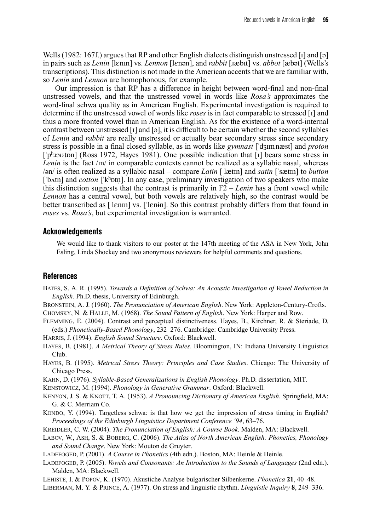Wells (1982: 167f.) argues that RP and other English dialects distinguish unstressed  $\lceil 1 \rceil$  and  $\lceil 5 \rceil$ in pairs such as *Lenin* [lenin] vs. *Lennon* [lenon], and *rabbit* [xx brack] vs. *abbot* [xx bot] (Wells's transcriptions). This distinction is not made in the American accents that we are familiar with, so *Lenin* and *Lennon* are homophonous, for example.

Our impression is that RP has a difference in height between word-final and non-final unstressed vowels, and that the unstressed vowel in words like *Rosa's* approximates the word-final schwa quality as in American English. Experimental investigation is required to determine if the unstressed vowel of words like *roses* is in fact comparable to stressed [I] and thus a more fronted vowel than in American English. As for the existence of a word-internal contrast between unstressed  $[i]$  and  $[\circ]$ , it is difficult to be certain whether the second syllables of *Lenin* and *rabbit* are really unstressed or actually bear secondary stress since secondary stress is possible in a final closed syllable, as in words like *gymnast* ['dzIm, næst] and *proton* ['p<sup>h</sup>]; posses 1972, Hayes 1981). One possible indication that [1] bears some stress in *Lenin* is the fact /m/ in comparable contexts cannot be realized as a syllabic nasal, whereas /´n/ is often realized as a syllabic nasal – compare *Latin* ["lœtIn] and *satin* ["sœtIn] to *button* ['b $\mu$ h and *cotton* ['k<sup>h</sup> ptn]. In any case, preliminary investigation of two speakers who make this distinction suggests that the contrast is primarily in F2 – *Lenin* has a front vowel while *Lennon* has a central vowel, but both vowels are relatively high, so the contrast would be better transcribed as ['lenin] vs. ['lenin]. So this contrast probably differs from that found in *roses* vs. *Rosa's*, but experimental investigation is warranted.

#### **Acknowledgements**

We would like to thank visitors to our poster at the 147th meeting of the ASA in New York, John Esling, Linda Shockey and two anonymous reviewers for helpful comments and questions.

#### **References**

BATES, S. A. R. (1995). *Towards a Definition of Schwa: An Acoustic Investigation of Vowel Reduction in English*. Ph.D. thesis, University of Edinburgh.

BRONSTEIN, A. J. (1960). *The Pronunciation of American English*. New York: Appleton-Century-Crofts. CHOMSKY, N. & HALLE, M. (1968). *The Sound Pattern of English*. New York: Harper and Row.

- FLEMMING, E. (2004). Contrast and perceptual distinctiveness. Hayes, B., Kirchner, R. & Steriade, D. (eds.) *Phonetically-Based Phonology*, 232–276. Cambridge: Cambridge University Press.
- HARRIS, J. (1994). *English Sound Structure*. Oxford: Blackwell.
- HAYES, B. (1981). *A Metrical Theory of Stress Rules*. Bloomington, IN: Indiana University Linguistics Club.
- HAYES, B. (1995). *Metrical Stress Theory: Principles and Case Studies*. Chicago: The University of Chicago Press.
- KAHN, D. (1976). *Syllable-Based Generalizations in English Phonology*. Ph.D. dissertation, MIT.
- KENSTOWICZ, M. (1994). *Phonology in Generative Grammar*. Oxford: Blackwell.
- KENYON, J. S. & KNOTT, T. A. (1953). *A Pronouncing Dictionary of American English*. Springfield, MA: G. & C. Merriam Co.
- KONDO, Y. (1994). Targetless schwa: is that how we get the impression of stress timing in English? *Proceedings of the Edinburgh Linguistics Department Conference '94*, 63–76.
- KREIDLER, C. W. (2004). *The Pronunciation of English: A Course Book*. Malden, MA: Blackwell.
- LABOV, W., ASH, S. & BOBERG, C. (2006). *The Atlas of North American English: Phonetics, Phonology and Sound Change*. New York: Mouton de Gruyter.
- LADEFOGED, P. (2001). *A Course in Phonetics* (4th edn.). Boston, MA: Heinle & Heinle.
- LADEFOGED, P. (2005). *Vowels and Consonants: An Introduction to the Sounds of Languages* (2nd edn.). Malden, MA: Blackwell.
- LEHISTE, I. & POPOV, K. (1970). Akustiche Analyse bulgarischer Silbenkerne. *Phonetica* **21**, 40–48.
- LIBERMAN, M. Y. & PRINCE, A. (1977). On stress and linguistic rhythm. *Linguistic Inquiry* **8**, 249–336.